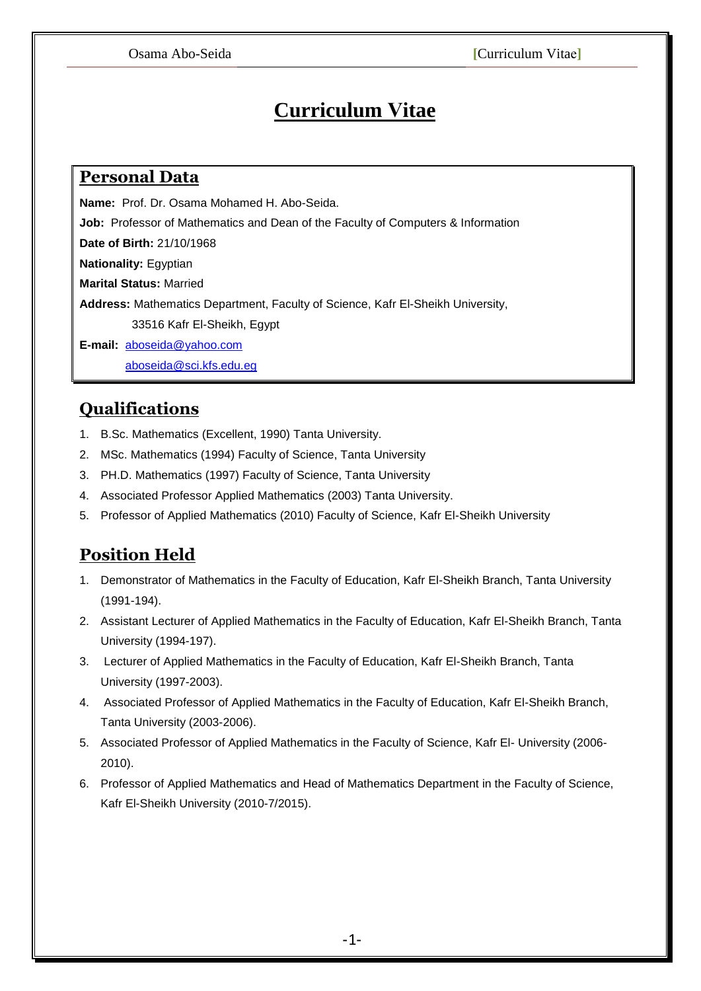# **Curriculum Vitae**

## **Personal Data**

**Name:** Prof. Dr. Osama Mohamed H. Abo-Seida.

**Job:** Professor of Mathematics and Dean of the Faculty of Computers & Information

**Date of Birth:** 21/10/1968

**Nationality:** Egyptian

**Marital Status:** Married

**Address:** Mathematics Department, Faculty of Science, Kafr El-Sheikh University,

33516 Kafr El-Sheikh, Egypt

**E-mail:** [aboseida@yahoo.com](mailto:aboseida@yahoo.com)

[aboseida@sci.kfs.edu.eg](mailto:aboseida@sci.kfs.edu.eg)

# **Qualifications**

- 1. B.Sc. Mathematics (Excellent, 1990) Tanta University.
- 2. MSc. Mathematics (1994) Faculty of Science, Tanta University
- 3. PH.D. Mathematics (1997) Faculty of Science, Tanta University
- 4. Associated Professor Applied Mathematics (2003) Tanta University.
- 5. Professor of Applied Mathematics (2010) Faculty of Science, Kafr El-Sheikh University

# **Position Held**

- 1. Demonstrator of Mathematics in the Faculty of Education, Kafr El-Sheikh Branch, Tanta University (1991-194).
- 2. Assistant Lecturer of Applied Mathematics in the Faculty of Education, Kafr El-Sheikh Branch, Tanta University (1994-197).
- 3. Lecturer of Applied Mathematics in the Faculty of Education, Kafr El-Sheikh Branch, Tanta University (1997-2003).
- 4. Associated Professor of Applied Mathematics in the Faculty of Education, Kafr El-Sheikh Branch, Tanta University (2003-2006).
- 5. Associated Professor of Applied Mathematics in the Faculty of Science, Kafr El- University (2006- 2010).
- 6. Professor of Applied Mathematics and Head of Mathematics Department in the Faculty of Science, Kafr El-Sheikh University (2010-7/2015).